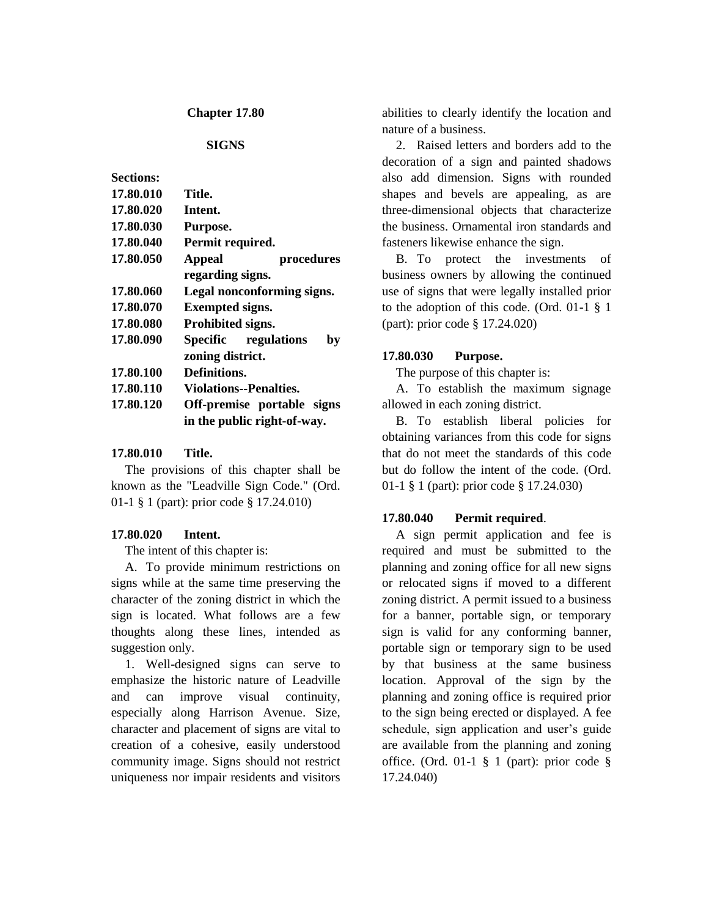#### **Chapter 17.80**

## **SIGNS**

| <b>Sections:</b> |                               |
|------------------|-------------------------------|
| 17.80.010        | Title.                        |
| 17.80.020        | Intent.                       |
| 17.80.030        | Purpose.                      |
| 17.80.040        | Permit required.              |
| 17.80.050        | <b>Appeal</b><br>procedures   |
|                  | regarding signs.              |
| 17.80.060        | Legal nonconforming signs.    |
| 17.80.070        | <b>Exempted signs.</b>        |
| 17.80.080        | Prohibited signs.             |
| 17.80.090        | Specific regulations<br>bv    |
|                  | zoning district.              |
| 17.80.100        | Definitions.                  |
| 17.80.110        | <b>Violations--Penalties.</b> |
| 17.80.120        | Off-premise portable signs    |
|                  | in the public right-of-way.   |

### **17.80.010 Title.**

The provisions of this chapter shall be known as the "Leadville Sign Code." (Ord. 01-1 § 1 (part): prior code § 17.24.010)

#### **17.80.020 Intent.**

The intent of this chapter is:

A. To provide minimum restrictions on signs while at the same time preserving the character of the zoning district in which the sign is located. What follows are a few thoughts along these lines, intended as suggestion only.

1. Well-designed signs can serve to emphasize the historic nature of Leadville and can improve visual continuity, especially along Harrison Avenue. Size, character and placement of signs are vital to creation of a cohesive, easily understood community image. Signs should not restrict uniqueness nor impair residents and visitors

abilities to clearly identify the location and nature of a business.

2. Raised letters and borders add to the decoration of a sign and painted shadows also add dimension. Signs with rounded shapes and bevels are appealing, as are three-dimensional objects that characterize the business. Ornamental iron standards and fasteners likewise enhance the sign.

B. To protect the investments of business owners by allowing the continued use of signs that were legally installed prior to the adoption of this code. (Ord. 01-1 § 1 (part): prior code § 17.24.020)

# **17.80.030 Purpose.**

The purpose of this chapter is:

A. To establish the maximum signage allowed in each zoning district.

B. To establish liberal policies for obtaining variances from this code for signs that do not meet the standards of this code but do follow the intent of the code. (Ord. 01-1 § 1 (part): prior code § 17.24.030)

#### **17.80.040 Permit required**.

A sign permit application and fee is required and must be submitted to the planning and zoning office for all new signs or relocated signs if moved to a different zoning district. A permit issued to a business for a banner, portable sign, or temporary sign is valid for any conforming banner, portable sign or temporary sign to be used by that business at the same business location. Approval of the sign by the planning and zoning office is required prior to the sign being erected or displayed. A fee schedule, sign application and user's guide are available from the planning and zoning office. (Ord. 01-1 § 1 (part): prior code § 17.24.040)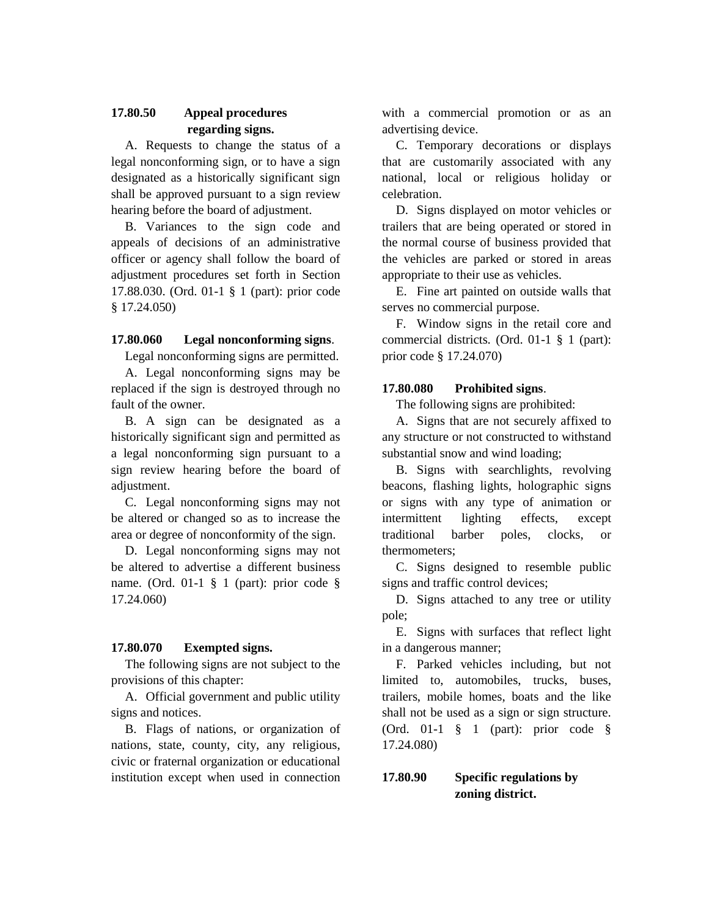# **17.80.50 Appeal procedures regarding signs.**

A. Requests to change the status of a legal nonconforming sign, or to have a sign designated as a historically significant sign shall be approved pursuant to a sign review hearing before the board of adjustment.

B. Variances to the sign code and appeals of decisions of an administrative officer or agency shall follow the board of adjustment procedures set forth in Section 17.88.030. (Ord. 01-1 § 1 (part): prior code § 17.24.050)

## **17.80.060 Legal nonconforming signs**.

Legal nonconforming signs are permitted.

A. Legal nonconforming signs may be replaced if the sign is destroyed through no fault of the owner.

B. A sign can be designated as a historically significant sign and permitted as a legal nonconforming sign pursuant to a sign review hearing before the board of adiustment.

C. Legal nonconforming signs may not be altered or changed so as to increase the area or degree of nonconformity of the sign.

D. Legal nonconforming signs may not be altered to advertise a different business name. (Ord. 01-1 § 1 (part): prior code § 17.24.060)

### **17.80.070 Exempted signs.**

The following signs are not subject to the provisions of this chapter:

A. Official government and public utility signs and notices.

B. Flags of nations, or organization of nations, state, county, city, any religious, civic or fraternal organization or educational institution except when used in connection

with a commercial promotion or as an advertising device.

C. Temporary decorations or displays that are customarily associated with any national, local or religious holiday or celebration.

D. Signs displayed on motor vehicles or trailers that are being operated or stored in the normal course of business provided that the vehicles are parked or stored in areas appropriate to their use as vehicles.

E. Fine art painted on outside walls that serves no commercial purpose.

F. Window signs in the retail core and commercial districts. (Ord. 01-1 § 1 (part): prior code § 17.24.070)

## **17.80.080 Prohibited signs**.

The following signs are prohibited:

A. Signs that are not securely affixed to any structure or not constructed to withstand substantial snow and wind loading;

B. Signs with searchlights, revolving beacons, flashing lights, holographic signs or signs with any type of animation or intermittent lighting effects, except traditional barber poles, clocks, or thermometers;

C. Signs designed to resemble public signs and traffic control devices;

D. Signs attached to any tree or utility pole;

E. Signs with surfaces that reflect light in a dangerous manner;

F. Parked vehicles including, but not limited to, automobiles, trucks, buses, trailers, mobile homes, boats and the like shall not be used as a sign or sign structure. (Ord. 01-1 § 1 (part): prior code § 17.24.080)

# **17.80.90 Specific regulations by zoning district.**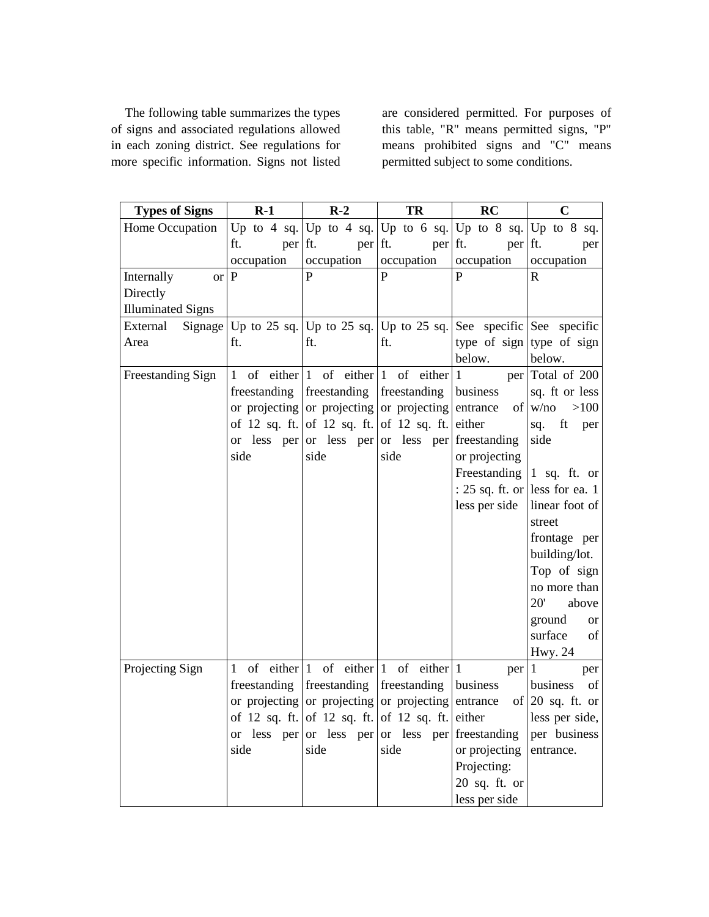The following table summarizes the types of signs and associated regulations allowed in each zoning district. See regulations for more specific information. Signs not listed

are considered permitted. For purposes of this table, "R" means permitted signs, "P" means prohibited signs and "C" means permitted subject to some conditions.

| <b>Types of Signs</b>    | $R-1$                                          | $R-2$                                     | TR                                               | RC            | $\mathbf C$                                                         |
|--------------------------|------------------------------------------------|-------------------------------------------|--------------------------------------------------|---------------|---------------------------------------------------------------------|
| Home Occupation          |                                                |                                           |                                                  |               | Up to 4 sq.   Up to 4 sq.   Up to 6 sq.   Up to 8 sq.   Up to 8 sq. |
|                          | per ft.<br>ft.                                 | per ft.                                   | per ft.                                          | per ft.       | per                                                                 |
|                          | occupation                                     | occupation                                | occupation                                       | occupation    | occupation                                                          |
| Internally<br><b>or</b>  | P                                              | P                                         | P                                                | P             | R                                                                   |
| Directly                 |                                                |                                           |                                                  |               |                                                                     |
| <b>Illuminated Signs</b> |                                                |                                           |                                                  |               |                                                                     |
| External                 | Signage Up to 25 sq. Up to 25 sq. Up to 25 sq. |                                           |                                                  |               | See specific See specific                                           |
| Area                     | ft.                                            | ft.                                       | ft.                                              | below.        | type of sign type of sign<br>below.                                 |
| Freestanding Sign        |                                                |                                           | 1 of either $ 1$ of either $ 1$ of either        | $\mathbf{1}$  | per Total of 200                                                    |
|                          | freestanding                                   | freestanding                              | freestanding                                     | business      | sq. ft or less                                                      |
|                          |                                                |                                           | or projecting or projecting or projecting        | entrance      | of w/no<br>>100                                                     |
|                          |                                                |                                           | of 12 sq. ft. of 12 sq. ft. of 12 sq. ft.        | either        | sq.<br>ft<br>per                                                    |
|                          |                                                |                                           | or less per or less per or less per freestanding |               | side                                                                |
|                          | side                                           | side                                      | side                                             | or projecting |                                                                     |
|                          |                                                |                                           |                                                  |               | Freestanding $\begin{vmatrix} 1 & sq. \end{vmatrix}$ ft. or         |
|                          |                                                |                                           |                                                  |               | : 25 sq. ft. or less for ea. 1                                      |
|                          |                                                |                                           |                                                  | less per side | linear foot of                                                      |
|                          |                                                |                                           |                                                  |               | street                                                              |
|                          |                                                |                                           |                                                  |               | frontage per                                                        |
|                          |                                                |                                           |                                                  |               | building/lot.                                                       |
|                          |                                                |                                           |                                                  |               | Top of sign                                                         |
|                          |                                                |                                           |                                                  |               | no more than                                                        |
|                          |                                                |                                           |                                                  |               | 20'<br>above                                                        |
|                          |                                                |                                           |                                                  |               | ground<br><b>or</b>                                                 |
|                          |                                                |                                           |                                                  |               | surface<br>of                                                       |
|                          |                                                |                                           |                                                  |               | <b>Hwy. 24</b>                                                      |
| Projecting Sign          | 1                                              |                                           | of either $1$ of either $1$ of either $1$        | per 1         | per                                                                 |
|                          | freestanding freestanding                      |                                           | freestanding                                     | business      | of<br>business                                                      |
|                          |                                                |                                           | or projecting or projecting or projecting        | entrance      | of $20$ sq. ft. or                                                  |
|                          |                                                | of 12 sq. ft. of 12 sq. ft. of 12 sq. ft. |                                                  | either        | less per side,                                                      |
|                          |                                                |                                           | or less per or less per or less per freestanding |               | per business                                                        |
|                          | side                                           | side                                      | side                                             | or projecting | entrance.                                                           |
|                          |                                                |                                           |                                                  | Projecting:   |                                                                     |
|                          |                                                |                                           |                                                  | 20 sq. ft. or |                                                                     |
|                          |                                                |                                           |                                                  | less per side |                                                                     |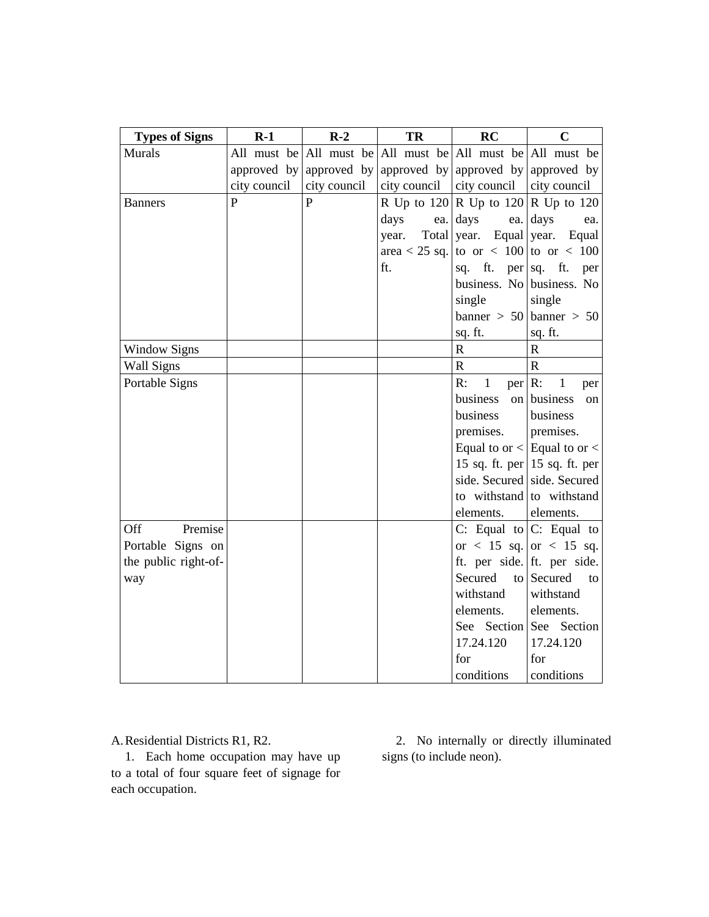| <b>Types of Signs</b> | $R-1$          | $R-2$                   | TR           | RC                              | $\mathbf C$                                                 |
|-----------------------|----------------|-------------------------|--------------|---------------------------------|-------------------------------------------------------------|
| Murals                |                |                         |              |                                 | All must be All must be All must be All must be All must be |
|                       |                | approved by approved by |              |                                 | approved by approved by approved by                         |
|                       | city council   | city council            | city council | city council                    | city council                                                |
| Banners               | $\overline{P}$ | $\mathbf{P}$            |              |                                 | R Up to $120 \mid R$ Up to $120 \mid R$ Up to $120$         |
|                       |                |                         | days<br>ea.  | days<br>ea.                     | days<br>ea.                                                 |
|                       |                |                         | year.        | Total year. Equal year.         | Equal                                                       |
|                       |                |                         |              |                                 | area < 25 sq. to or < 100 to or < 100                       |
|                       |                |                         | ft.          | ft.<br>sq.                      | per sq. ft.<br>per                                          |
|                       |                |                         |              |                                 | business. No business. No                                   |
|                       |                |                         |              | single                          | single                                                      |
|                       |                |                         |              |                                 | $\text{banner} > 50 \text{banner} > 50$                     |
|                       |                |                         |              | sq. ft.                         | sq. ft.                                                     |
| <b>Window Signs</b>   |                |                         |              | ${\bf R}$                       | $\mathbf R$                                                 |
| Wall Signs            |                |                         |              | $\mathbf R$                     | $\mathbf R$                                                 |
| Portable Signs        |                |                         |              | $\mathbf{1}$<br>R:<br>$per R$ : | $\mathbf{1}$<br>per                                         |
|                       |                |                         |              | business                        | on business<br>on                                           |
|                       |                |                         |              | business                        | business                                                    |
|                       |                |                         |              | premises.                       | premises.                                                   |
|                       |                |                         |              |                                 | Equal to or $\langle$ Equal to or $\langle$                 |
|                       |                |                         |              |                                 | 15 sq. ft. per 15 sq. ft. per                               |
|                       |                |                         |              |                                 | side. Secured side. Secured                                 |
|                       |                |                         |              |                                 | to withstand to withstand                                   |
|                       |                |                         |              | elements.                       | elements.                                                   |
| Premise<br>Off        |                |                         |              |                                 | C: Equal to $ C:$ Equal to                                  |
| Portable Signs on     |                |                         |              |                                 | or < 15 sq. or < 15 sq.                                     |
| the public right-of-  |                |                         |              |                                 | ft. per side. ft. per side.                                 |
| way                   |                |                         |              | Secured                         | to Secured<br>to                                            |
|                       |                |                         |              | withstand                       | withstand                                                   |
|                       |                |                         |              | elements.                       | elements.                                                   |
|                       |                |                         |              | See Section                     | See Section                                                 |
|                       |                |                         |              | 17.24.120                       | 17.24.120                                                   |
|                       |                |                         |              | for                             | for                                                         |
|                       |                |                         |              | conditions                      | conditions                                                  |

A.Residential Districts R1, R2.

1. Each home occupation may have up to a total of four square feet of signage for each occupation.

2. No internally or directly illuminated signs (to include neon).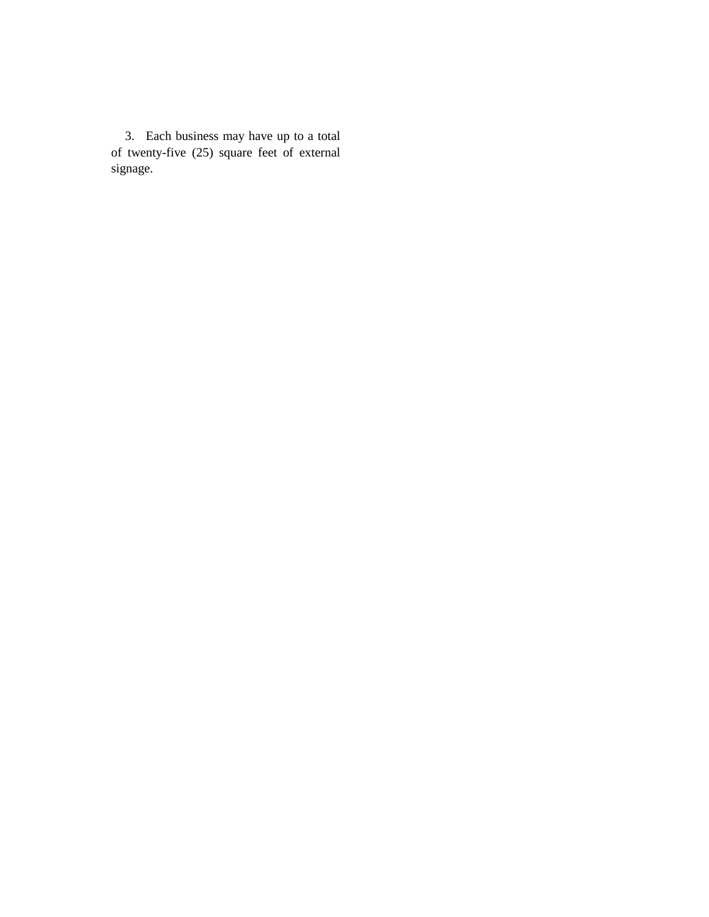3. Each business may have up to a total of twenty-five (25) square feet of external signage.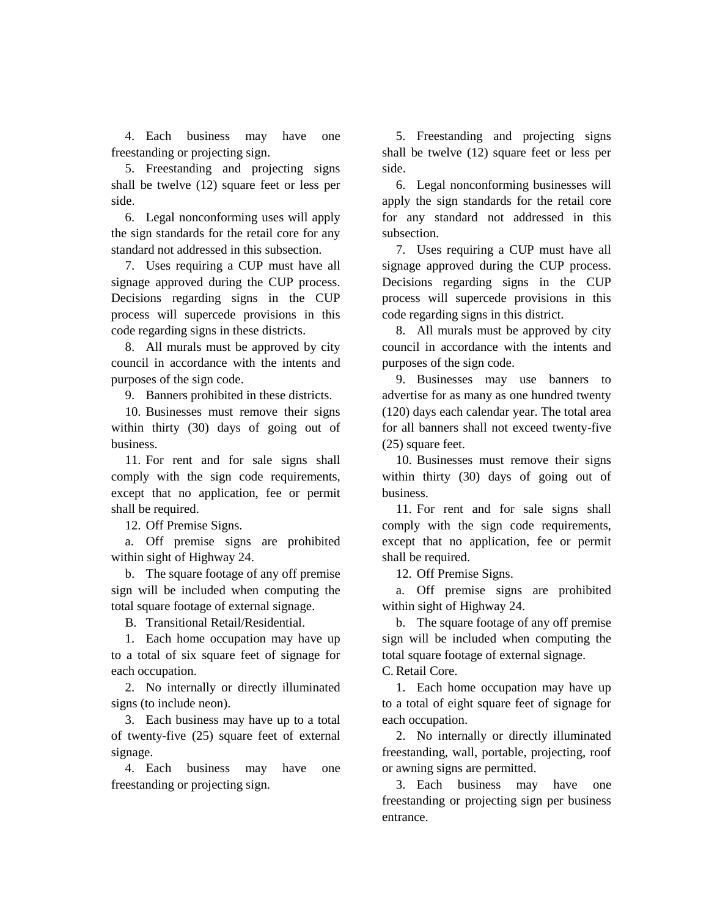4. Each business may have one freestanding or projecting sign.

5. Freestanding and projecting signs shall be twelve (12) square feet or less per side.

6. Legal nonconforming uses will apply the sign standards for the retail core for any standard not addressed in this subsection.

7. Uses requiring a CUP must have all signage approved during the CUP process. Decisions regarding signs in the CUP process will supercede provisions in this code regarding signs in these districts.

8. All murals must be approved by city council in accordance with the intents and purposes of the sign code.

9. Banners prohibited in these districts.

10. Businesses must remove their signs within thirty (30) days of going out of business.

11. For rent and for sale signs shall comply with the sign code requirements, except that no application, fee or permit shall be required.

12. Off Premise Signs.

a. Off premise signs are prohibited within sight of Highway 24.

b. The square footage of any off premise sign will be included when computing the total square footage of external signage.

B. Transitional Retail/Residential.

1. Each home occupation may have up to a total of six square feet of signage for each occupation.

2. No internally or directly illuminated signs (to include neon).

3. Each business may have up to a total of twenty-five (25) square feet of external signage.

4. Each business may have one freestanding or projecting sign.

5. Freestanding and projecting signs shall be twelve (12) square feet or less per side.

6. Legal nonconforming businesses will apply the sign standards for the retail core for any standard not addressed in this subsection.

7. Uses requiring a CUP must have all signage approved during the CUP process. Decisions regarding signs in the CUP process will supercede provisions in this code regarding signs in this district.

8. All murals must be approved by city council in accordance with the intents and purposes of the sign code.

9. Businesses may use banners to advertise for as many as one hundred twenty (120) days each calendar year. The total area for all banners shall not exceed twenty-five (25) square feet.

10. Businesses must remove their signs within thirty (30) days of going out of business.

11. For rent and for sale signs shall comply with the sign code requirements, except that no application, fee or permit shall be required.

12. Off Premise Signs.

a. Off premise signs are prohibited within sight of Highway 24.

b. The square footage of any off premise sign will be included when computing the total square footage of external signage.

C. Retail Core.

1. Each home occupation may have up to a total of eight square feet of signage for each occupation.

2. No internally or directly illuminated freestanding, wall, portable, projecting, roof or awning signs are permitted.

3. Each business may have one freestanding or projecting sign per business entrance.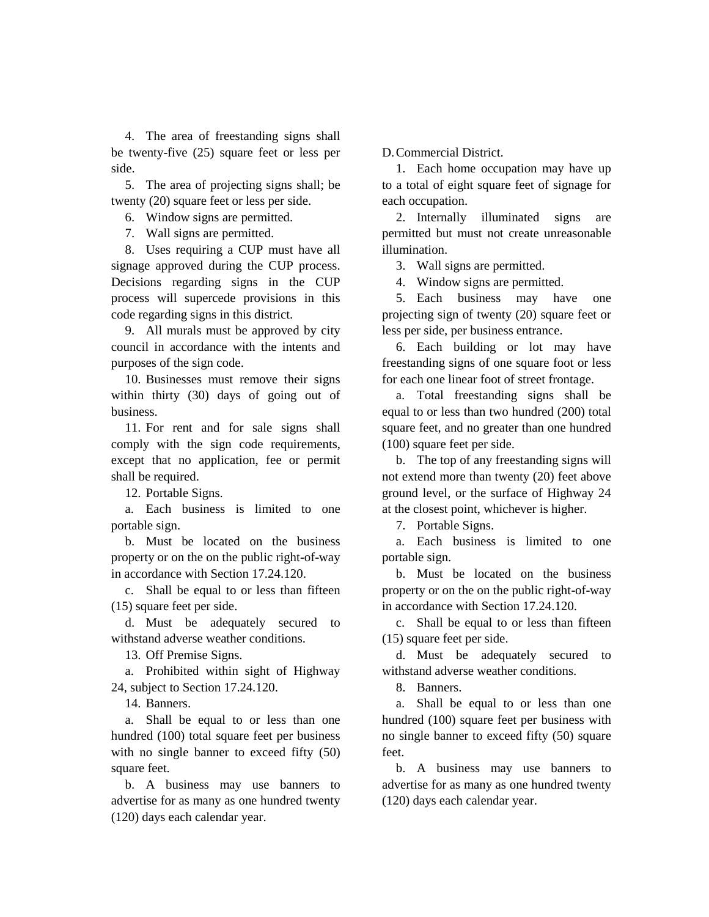4. The area of freestanding signs shall be twenty-five (25) square feet or less per side.

5. The area of projecting signs shall; be twenty (20) square feet or less per side.

6. Window signs are permitted.

7. Wall signs are permitted.

8. Uses requiring a CUP must have all signage approved during the CUP process. Decisions regarding signs in the CUP process will supercede provisions in this code regarding signs in this district.

9. All murals must be approved by city council in accordance with the intents and purposes of the sign code.

10. Businesses must remove their signs within thirty (30) days of going out of business.

11. For rent and for sale signs shall comply with the sign code requirements, except that no application, fee or permit shall be required.

12. Portable Signs.

a. Each business is limited to one portable sign.

b. Must be located on the business property or on the on the public right-of-way in accordance with Section 17.24.120.

c. Shall be equal to or less than fifteen (15) square feet per side.

d. Must be adequately secured to withstand adverse weather conditions.

13. Off Premise Signs.

a. Prohibited within sight of Highway 24, subject to Section 17.24.120.

14. Banners.

a. Shall be equal to or less than one hundred (100) total square feet per business with no single banner to exceed fifty  $(50)$ square feet.

b. A business may use banners to advertise for as many as one hundred twenty (120) days each calendar year.

D.Commercial District.

1. Each home occupation may have up to a total of eight square feet of signage for each occupation.

2. Internally illuminated signs are permitted but must not create unreasonable illumination.

3. Wall signs are permitted.

4. Window signs are permitted.

5. Each business may have one projecting sign of twenty (20) square feet or less per side, per business entrance.

6. Each building or lot may have freestanding signs of one square foot or less for each one linear foot of street frontage.

a. Total freestanding signs shall be equal to or less than two hundred (200) total square feet, and no greater than one hundred (100) square feet per side.

b. The top of any freestanding signs will not extend more than twenty (20) feet above ground level, or the surface of Highway 24 at the closest point, whichever is higher.

7. Portable Signs.

a. Each business is limited to one portable sign.

b. Must be located on the business property or on the on the public right-of-way in accordance with Section 17.24.120.

c. Shall be equal to or less than fifteen (15) square feet per side.

d. Must be adequately secured to withstand adverse weather conditions.

8. Banners.

a. Shall be equal to or less than one hundred (100) square feet per business with no single banner to exceed fifty (50) square feet.

b. A business may use banners to advertise for as many as one hundred twenty (120) days each calendar year.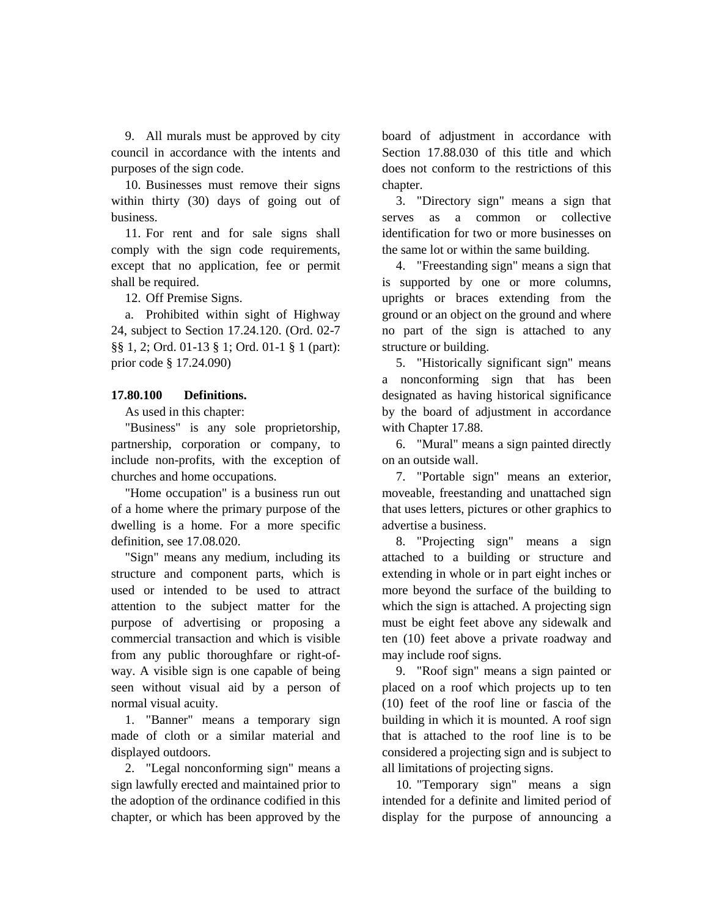9. All murals must be approved by city council in accordance with the intents and purposes of the sign code.

10. Businesses must remove their signs within thirty (30) days of going out of business.

11. For rent and for sale signs shall comply with the sign code requirements, except that no application, fee or permit shall be required.

12. Off Premise Signs.

a. Prohibited within sight of Highway 24, subject to Section 17.24.120. (Ord. 02-7 §§ 1, 2; Ord. 01-13 § 1; Ord. 01-1 § 1 (part): prior code § 17.24.090)

### **17.80.100 Definitions.**

As used in this chapter:

"Business" is any sole proprietorship, partnership, corporation or company, to include non-profits, with the exception of churches and home occupations.

"Home occupation" is a business run out of a home where the primary purpose of the dwelling is a home. For a more specific definition, see 17.08.020.

"Sign" means any medium, including its structure and component parts, which is used or intended to be used to attract attention to the subject matter for the purpose of advertising or proposing a commercial transaction and which is visible from any public thoroughfare or right-ofway. A visible sign is one capable of being seen without visual aid by a person of normal visual acuity.

1. "Banner" means a temporary sign made of cloth or a similar material and displayed outdoors.

2. "Legal nonconforming sign" means a sign lawfully erected and maintained prior to the adoption of the ordinance codified in this chapter, or which has been approved by the

board of adjustment in accordance with Section 17.88.030 of this title and which does not conform to the restrictions of this chapter.

3. "Directory sign" means a sign that serves as a common or collective identification for two or more businesses on the same lot or within the same building.

4. "Freestanding sign" means a sign that is supported by one or more columns, uprights or braces extending from the ground or an object on the ground and where no part of the sign is attached to any structure or building.

5. "Historically significant sign" means a nonconforming sign that has been designated as having historical significance by the board of adjustment in accordance with Chapter 17.88.

6. "Mural" means a sign painted directly on an outside wall.

7. "Portable sign" means an exterior, moveable, freestanding and unattached sign that uses letters, pictures or other graphics to advertise a business.

8. "Projecting sign" means a sign attached to a building or structure and extending in whole or in part eight inches or more beyond the surface of the building to which the sign is attached. A projecting sign must be eight feet above any sidewalk and ten (10) feet above a private roadway and may include roof signs.

9. "Roof sign" means a sign painted or placed on a roof which projects up to ten (10) feet of the roof line or fascia of the building in which it is mounted. A roof sign that is attached to the roof line is to be considered a projecting sign and is subject to all limitations of projecting signs.

10. "Temporary sign" means a sign intended for a definite and limited period of display for the purpose of announcing a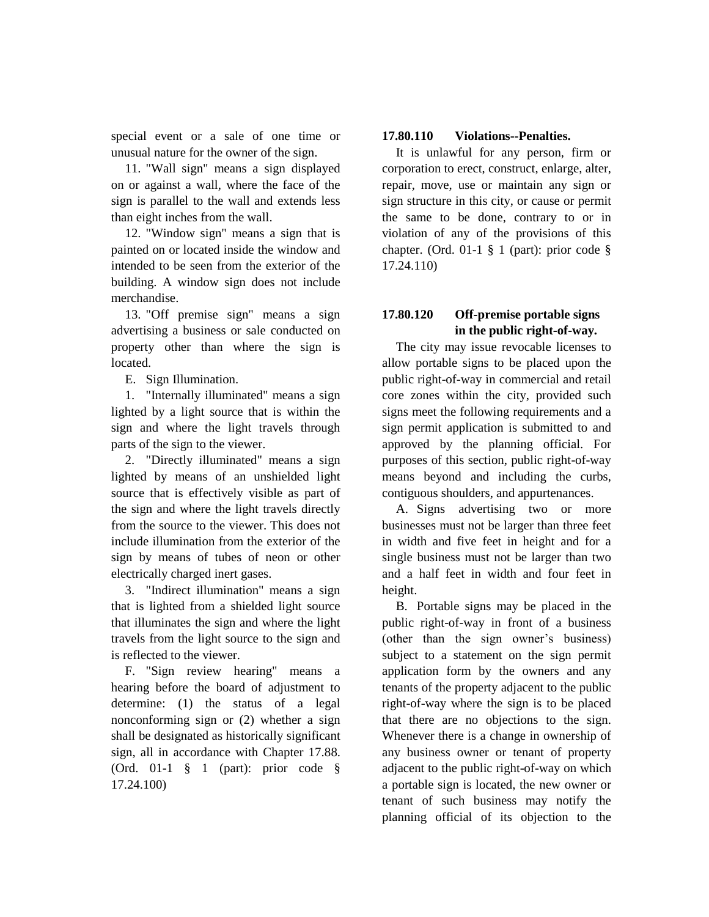special event or a sale of one time or unusual nature for the owner of the sign.

11. "Wall sign" means a sign displayed on or against a wall, where the face of the sign is parallel to the wall and extends less than eight inches from the wall.

12. "Window sign" means a sign that is painted on or located inside the window and intended to be seen from the exterior of the building. A window sign does not include merchandise.

13. "Off premise sign" means a sign advertising a business or sale conducted on property other than where the sign is located.

E. Sign Illumination.

1. "Internally illuminated" means a sign lighted by a light source that is within the sign and where the light travels through parts of the sign to the viewer.

2. "Directly illuminated" means a sign lighted by means of an unshielded light source that is effectively visible as part of the sign and where the light travels directly from the source to the viewer. This does not include illumination from the exterior of the sign by means of tubes of neon or other electrically charged inert gases.

3. "Indirect illumination" means a sign that is lighted from a shielded light source that illuminates the sign and where the light travels from the light source to the sign and is reflected to the viewer.

F. "Sign review hearing" means a hearing before the board of adjustment to determine: (1) the status of a legal nonconforming sign or (2) whether a sign shall be designated as historically significant sign, all in accordance with Chapter 17.88. (Ord. 01-1 § 1 (part): prior code § 17.24.100)

# **17.80.110 Violations--Penalties.**

It is unlawful for any person, firm or corporation to erect, construct, enlarge, alter, repair, move, use or maintain any sign or sign structure in this city, or cause or permit the same to be done, contrary to or in violation of any of the provisions of this chapter. (Ord. 01-1  $\S$  1 (part): prior code  $\S$ 17.24.110)

# **17.80.120 Off-premise portable signs in the public right-of-way.**

The city may issue revocable licenses to allow portable signs to be placed upon the public right-of-way in commercial and retail core zones within the city, provided such signs meet the following requirements and a sign permit application is submitted to and approved by the planning official. For purposes of this section, public right-of-way means beyond and including the curbs, contiguous shoulders, and appurtenances.

A. Signs advertising two or more businesses must not be larger than three feet in width and five feet in height and for a single business must not be larger than two and a half feet in width and four feet in height.

B. Portable signs may be placed in the public right-of-way in front of a business (other than the sign owner's business) subject to a statement on the sign permit application form by the owners and any tenants of the property adjacent to the public right-of-way where the sign is to be placed that there are no objections to the sign. Whenever there is a change in ownership of any business owner or tenant of property adjacent to the public right-of-way on which a portable sign is located, the new owner or tenant of such business may notify the planning official of its objection to the